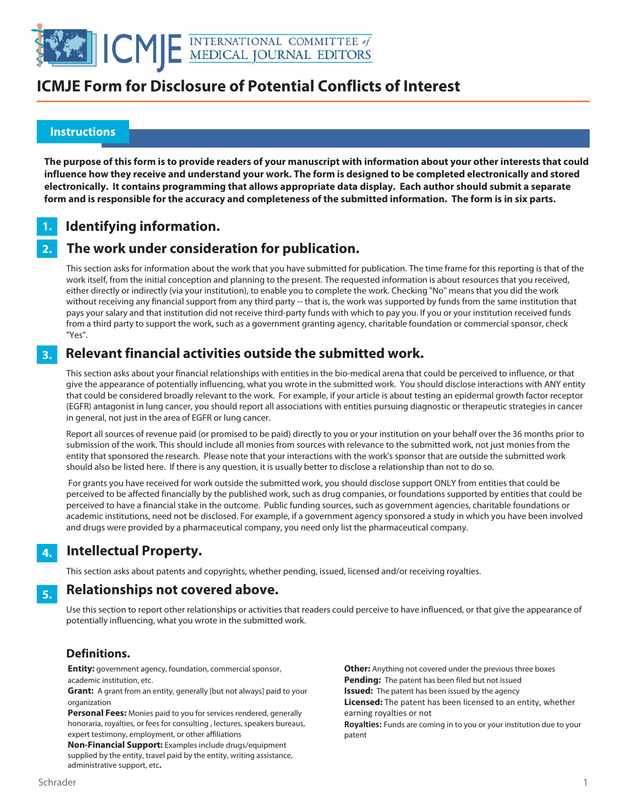

# **ICMJE Form for Disclosure of Potential Conflicts of Interest**

### **Instructions**

 

> **The purpose of this form is to provide readers of your manuscript with information about your other interests that could influence how they receive and understand your work. The form is designed to be completed electronically and stored electronically. It contains programming that allows appropriate data display. Each author should submit a separate form and is responsible for the accuracy and completeness of the submitted information. The form is in six parts.**

#### **Identifying information. 1.**

#### **The work under consideration for publication. 2.**

This section asks for information about the work that you have submitted for publication. The time frame for this reporting is that of the work itself, from the initial conception and planning to the present. The requested information is about resources that you received, either directly or indirectly (via your institution), to enable you to complete the work. Checking "No" means that you did the work without receiving any financial support from any third party -- that is, the work was supported by funds from the same institution that pays your salary and that institution did not receive third-party funds with which to pay you. If you or your institution received funds from a third party to support the work, such as a government granting agency, charitable foundation or commercial sponsor, check "Yes".

#### **Relevant financial activities outside the submitted work. 3.**

This section asks about your financial relationships with entities in the bio-medical arena that could be perceived to influence, or that give the appearance of potentially influencing, what you wrote in the submitted work. You should disclose interactions with ANY entity that could be considered broadly relevant to the work. For example, if your article is about testing an epidermal growth factor receptor (EGFR) antagonist in lung cancer, you should report all associations with entities pursuing diagnostic or therapeutic strategies in cancer in general, not just in the area of EGFR or lung cancer.

Report all sources of revenue paid (or promised to be paid) directly to you or your institution on your behalf over the 36 months prior to submission of the work. This should include all monies from sources with relevance to the submitted work, not just monies from the entity that sponsored the research. Please note that your interactions with the work's sponsor that are outside the submitted work should also be listed here. If there is any question, it is usually better to disclose a relationship than not to do so.

 For grants you have received for work outside the submitted work, you should disclose support ONLY from entities that could be perceived to be affected financially by the published work, such as drug companies, or foundations supported by entities that could be perceived to have a financial stake in the outcome. Public funding sources, such as government agencies, charitable foundations or academic institutions, need not be disclosed. For example, if a government agency sponsored a study in which you have been involved and drugs were provided by a pharmaceutical company, you need only list the pharmaceutical company.

#### **Intellectual Property. 4.**

This section asks about patents and copyrights, whether pending, issued, licensed and/or receiving royalties.

#### **Relationships not covered above. 5.**

Use this section to report other relationships or activities that readers could perceive to have influenced, or that give the appearance of potentially influencing, what you wrote in the submitted work.

### **Definitions.**

**Entity:** government agency, foundation, commercial sponsor, academic institution, etc.

**Grant:** A grant from an entity, generally [but not always] paid to your organization

**Personal Fees:** Monies paid to you for services rendered, generally honoraria, royalties, or fees for consulting , lectures, speakers bureaus, expert testimony, employment, or other affiliations

**Non-Financial Support:** Examples include drugs/equipment supplied by the entity, travel paid by the entity, writing assistance, administrative support, etc**.**

**Other:** Anything not covered under the previous three boxes **Pending:** The patent has been filed but not issued **Issued:** The patent has been issued by the agency **Licensed:** The patent has been licensed to an entity, whether earning royalties or not

**Royalties:** Funds are coming in to you or your institution due to your patent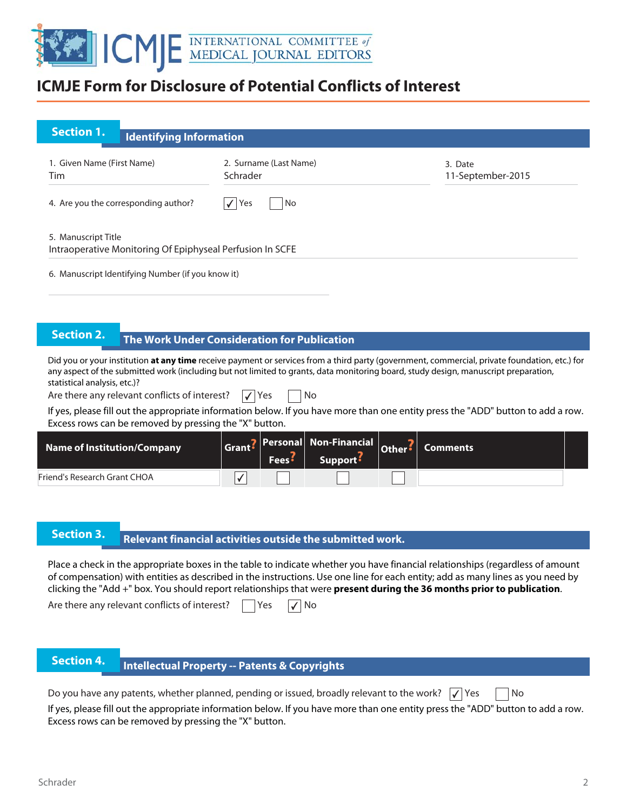

# **ICMJE Form for Disclosure of Potential Conflicts of Interest**

| <b>Section 1.</b>                        | <b>Identifying Information</b>                                                                                                                                                     |                                                        |                              |
|------------------------------------------|------------------------------------------------------------------------------------------------------------------------------------------------------------------------------------|--------------------------------------------------------|------------------------------|
| 1. Given Name (First Name)<br><b>Tim</b> | 4. Are you the corresponding author?                                                                                                                                               | 2. Surname (Last Name)<br>Schrader<br>$\sqrt{Y}$<br>No | 3. Date<br>11-September-2015 |
| 5. Manuscript Title                      | Intraoperative Monitoring Of Epiphyseal Perfusion In SCFE<br>$\mathcal{L}$ . Moreover, which is a set of the set of the set of $\mathcal{L}$ , and $\mathcal{L}$ and $\mathcal{L}$ |                                                        |                              |

6. Manuscript Identifying Number (if you know it)

# **The Work Under Consideration for Publication**

Did you or your institution **at any time** receive payment or services from a third party (government, commercial, private foundation, etc.) for any aspect of the submitted work (including but not limited to grants, data monitoring board, study design, manuscript preparation, statistical analysis, etc.)?

| Are there any relevant conflicts of interest? |  | $\sqrt{\mathsf{Y}}$ es |  | $\overline{\phantom{a}}$ No |
|-----------------------------------------------|--|------------------------|--|-----------------------------|
|-----------------------------------------------|--|------------------------|--|-----------------------------|

| If yes, please fill out the appropriate information below. If you have more than one entity press the "ADD" button to add a row. |  |
|----------------------------------------------------------------------------------------------------------------------------------|--|
| Excess rows can be removed by pressing the "X" button.                                                                           |  |

| <b>Name of Institution/Company</b> | Fees <sup>5</sup> | Grant? Personal Non-Financial Other? Comments<br>Support <sup>:</sup> |  |  |
|------------------------------------|-------------------|-----------------------------------------------------------------------|--|--|
| Friend's Research Grant CHOA       |                   |                                                                       |  |  |

## **Relevant financial activities outside the submitted work. Section 3. Relevant financial activities** outside the submitted work.

Place a check in the appropriate boxes in the table to indicate whether you have financial relationships (regardless of amount of compensation) with entities as described in the instructions. Use one line for each entity; add as many lines as you need by clicking the "Add +" box. You should report relationships that were **present during the 36 months prior to publication**.

Are there any relevant conflicts of interest?  $\Box$  Yes  $\Box$  No

# **Intellectual Property -- Patents & Copyrights**

Do you have any patents, whether planned, pending or issued, broadly relevant to the work?  $\sqrt{\sqrt{1}}$  Yes  $\sqrt{\sqrt{1}}$  No

If yes, please fill out the appropriate information below. If you have more than one entity press the "ADD" button to add a row. Excess rows can be removed by pressing the "X" button.